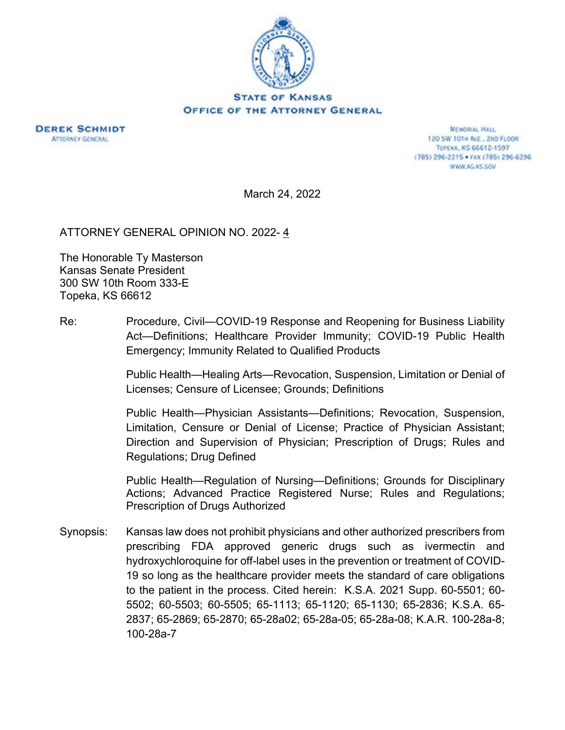



MEMORIAL HALL 120 SW 101H AVE., 2ND FLOOR TOPEXA, KS 66612-1597 (785) 296-2215 · FAX (785) 296-6296 WWW.AG.KS.GOV

March 24, 2022

ATTORNEY GENERAL OPINION NO. 2022-4

The Honorable Ty Masterson Kansas Senate President 300 SW 10th Room 333-E Topeka, KS 66612

Re: Procedure, Civil—COVID-19 Response and Reopening for Business Liability Act—Definitions; Healthcare Provider Immunity; COVID-19 Public Health Emergency; Immunity Related to Qualified Products

> Public Health—Healing Arts—Revocation, Suspension, Limitation or Denial of Licenses; Censure of Licensee; Grounds; Definitions

> Public Health—Physician Assistants—Definitions; Revocation, Suspension, Limitation, Censure or Denial of License; Practice of Physician Assistant; Direction and Supervision of Physician; Prescription of Drugs; Rules and Regulations; Drug Defined

> Public Health—Regulation of Nursing—Definitions; Grounds for Disciplinary Actions; Advanced Practice Registered Nurse; Rules and Regulations; Prescription of Drugs Authorized

Synopsis: Kansas law does not prohibit physicians and other authorized prescribers from prescribing FDA approved generic drugs such as ivermectin and hydroxychloroquine for off-label uses in the prevention or treatment of COVID-19 so long as the healthcare provider meets the standard of care obligations to the patient in the process. Cited herein: K.S.A. 2021 Supp. 60-5501; 60- 5502; 60-5503; 60-5505; 65-1113; 65-1120; 65-1130; 65-2836; K.S.A. 65- 2837; 65-2869; 65-2870; 65-28a02; 65-28a-05; 65-28a-08; K.A.R. 100-28a-8; 100-28a-7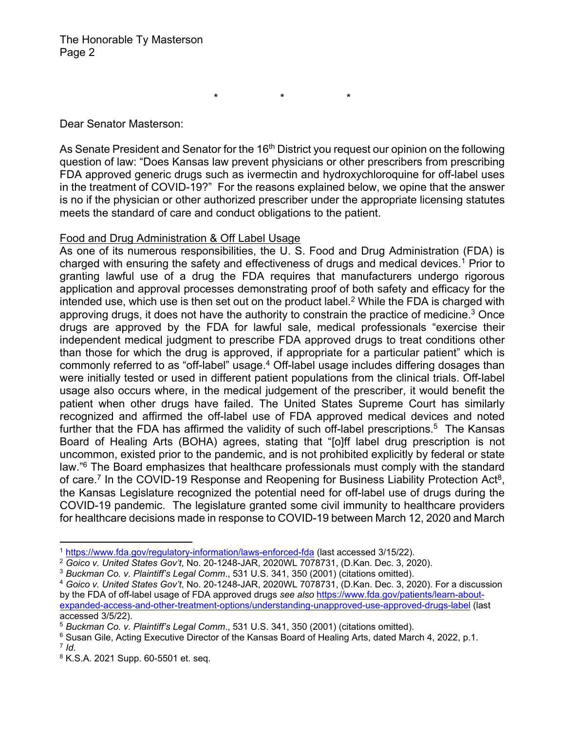\* \* \*

Dear Senator Masterson:

As Senate President and Senator for the 16<sup>th</sup> District you request our opinion on the following question of law: "Does Kansas law prevent physicians or other prescribers from prescribing FDA approved generic drugs such as ivermectin and hydroxychloroquine for off-label uses in the treatment of COVID-19?" For the reasons explained below, we opine that the answer is no if the physician or other authorized prescriber under the appropriate licensing statutes meets the standard of care and conduct obligations to the patient.

### Food and Drug Administration & Off Label Usage

As one of its numerous responsibilities, the U. S. Food and Drug Administration (FDA) is charged with ensuring the safety and effectiveness of drugs and medical devices.<sup>1</sup> Prior to granting lawful use of a drug the FDA requires that manufacturers undergo rigorous application and approval processes demonstrating proof of both safety and efficacy for the intended use, which use is then set out on the product label.<sup>2</sup> While the FDA is charged with approving drugs, it does not have the authority to constrain the practice of medicine.<sup>3</sup> Once drugs are approved by the FDA for lawful sale, medical professionals "exercise their independent medical judgment to prescribe FDA approved drugs to treat conditions other than those for which the drug is approved, if appropriate for a particular patient" which is commonly referred to as "off-label" usage.<sup>4</sup> Off-label usage includes differing dosages than were initially tested or used in different patient populations from the clinical trials. Off-label usage also occurs where, in the medical judgement of the prescriber, it would benefit the patient when other drugs have failed. The United States Supreme Court has similarly recognized and affirmed the off-label use of FDA approved medical devices and noted further that the FDA has affirmed the validity of such off-label prescriptions.<sup>5</sup> The Kansas Board of Healing Arts (BOHA) agrees, stating that "[o]ff label drug prescription is not uncommon, existed prior to the pandemic, and is not prohibited explicitly by federal or state law."6 The Board emphasizes that healthcare professionals must comply with the standard of care.<sup>7</sup> In the COVID-19 Response and Reopening for Business Liability Protection Act<sup>8</sup>, the Kansas Legislature recognized the potential need for off-label use of drugs during the COVID-19 pandemic. The legislature granted some civil immunity to healthcare providers for healthcare decisions made in response to COVID-19 between March 12, 2020 and March

<sup>&</sup>lt;sup>1</sup> https://www.fda.gov/regulatory-information/laws-enforced-fda (last accessed 3/15/22).

<sup>2</sup> *Goico v. United States Gov't*, No. 20-1248-JAR, 2020WL 7078731, (D.Kan. Dec. 3, 2020).

<sup>3</sup> *Buckman Co. v. Plaintiff's Legal Comm*., 531 U.S. 341, 350 (2001) (citations omitted).

<sup>4</sup> *Goico v. United States Gov't*, No. 20-1248-JAR, 2020WL 7078731, (D.Kan. Dec. 3, 2020). For a discussion by the FDA of off-label usage of FDA approved drugs *see also* https://www.fda.gov/patients/learn-aboutexpanded-access-and-other-treatment-options/understanding-unapproved-use-approved-drugs-label (last accessed 3/5/22).

<sup>5</sup> *Buckman Co. v. Plaintiff's Legal Comm*., 531 U.S. 341, 350 (2001) (citations omitted).

 $6$  Susan Gile, Acting Executive Director of the Kansas Board of Healing Arts, dated March 4, 2022, p.1.  $7$  *Id.* 

<sup>8</sup> K.S.A. 2021 Supp. 60-5501 et. seq.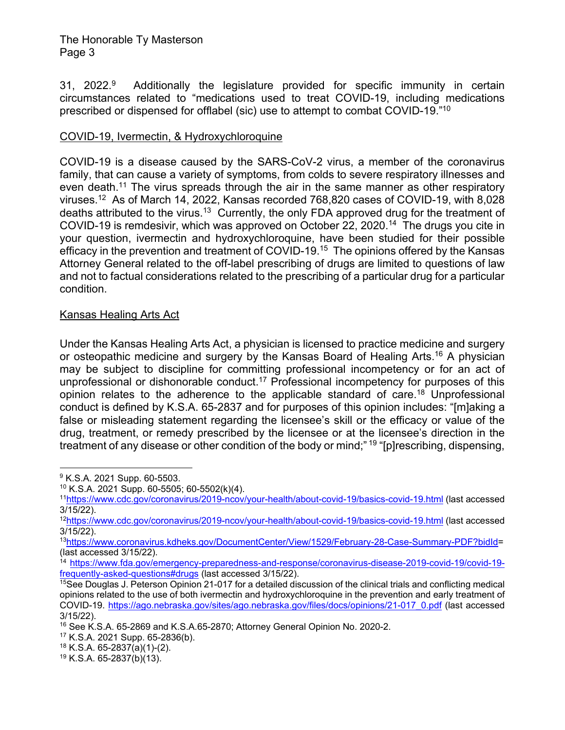## The Honorable Ty Masterson Page 3

31, 2022.<sup>9</sup> Additionally the legislature provided for specific immunity in certain circumstances related to "medications used to treat COVID-19, including medications prescribed or dispensed for offlabel (sic) use to attempt to combat COVID-19."10

# COVID-19, Ivermectin, & Hydroxychloroquine

COVID-19 is a disease caused by the SARS-CoV-2 virus, a member of the coronavirus family, that can cause a variety of symptoms, from colds to severe respiratory illnesses and even death.<sup>11</sup> The virus spreads through the air in the same manner as other respiratory viruses.12 As of March 14, 2022, Kansas recorded 768,820 cases of COVID-19, with 8,028 deaths attributed to the virus.<sup>13</sup> Currently, the only FDA approved drug for the treatment of COVID-19 is remdesivir, which was approved on October 22, 2020.14 The drugs you cite in your question, ivermectin and hydroxychloroquine, have been studied for their possible efficacy in the prevention and treatment of COVID-19.15 The opinions offered by the Kansas Attorney General related to the off-label prescribing of drugs are limited to questions of law and not to factual considerations related to the prescribing of a particular drug for a particular condition.

### Kansas Healing Arts Act

Under the Kansas Healing Arts Act, a physician is licensed to practice medicine and surgery or osteopathic medicine and surgery by the Kansas Board of Healing Arts.<sup>16</sup> A physician may be subject to discipline for committing professional incompetency or for an act of unprofessional or dishonorable conduct.<sup>17</sup> Professional incompetency for purposes of this opinion relates to the adherence to the applicable standard of care.<sup>18</sup> Unprofessional conduct is defined by K.S.A. 65-2837 and for purposes of this opinion includes: "[m]aking a false or misleading statement regarding the licensee's skill or the efficacy or value of the drug, treatment, or remedy prescribed by the licensee or at the licensee's direction in the treatment of any disease or other condition of the body or mind;" 19 "[p]rescribing, dispensing,

<sup>&</sup>lt;sup>9</sup> K.S.A. 2021 Supp. 60-5503.

<sup>10</sup> K.S.A. 2021 Supp. 60-5505; 60-5502(k)(4).

<sup>11</sup>https://www.cdc.gov/coronavirus/2019-ncov/your-health/about-covid-19/basics-covid-19.html (last accessed 3/15/22).

<sup>12</sup>https://www.cdc.gov/coronavirus/2019-ncov/your-health/about-covid-19/basics-covid-19.html (last accessed 3/15/22).

<sup>13</sup>https://www.coronavirus.kdheks.gov/DocumentCenter/View/1529/February-28-Case-Summary-PDF?bidId= (last accessed 3/15/22).

<sup>&</sup>lt;sup>14</sup> https://www.fda.gov/emergency-preparedness-and-response/coronavirus-disease-2019-covid-19/covid-19frequently-asked-questions#drugs (last accessed 3/15/22).

 $15$ See Douglas J. Peterson Opinion 21-017 for a detailed discussion of the clinical trials and conflicting medical opinions related to the use of both ivermectin and hydroxychloroquine in the prevention and early treatment of COVID-19. https://ago.nebraska.gov/sites/ago.nebraska.gov/files/docs/opinions/21-017\_0.pdf (last accessed 3/15/22).

<sup>16</sup> See K.S.A. 65-2869 and K.S.A.65-2870; Attorney General Opinion No. 2020-2.

<sup>17</sup> K.S.A. 2021 Supp. 65-2836(b).

<sup>18</sup> K.S.A. 65-2837(a)(1)-(2).

<sup>19</sup> K.S.A. 65-2837(b)(13).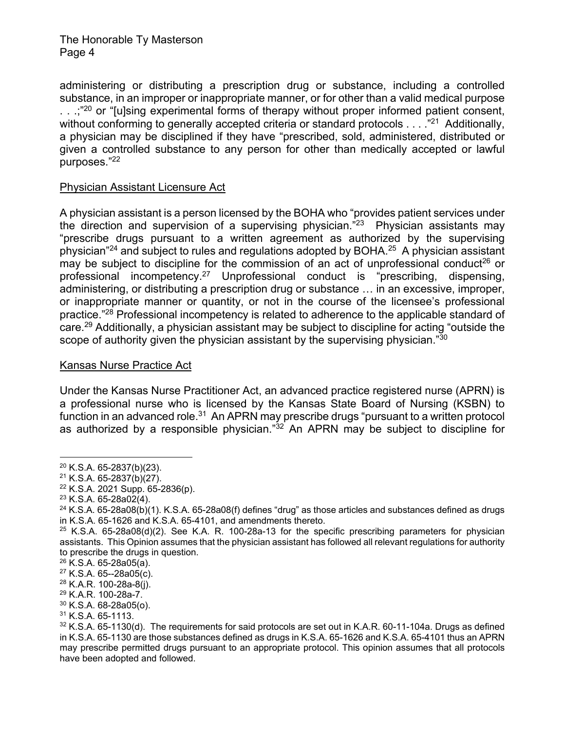The Honorable Ty Masterson Page 4

administering or distributing a prescription drug or substance, including a controlled substance, in an improper or inappropriate manner, or for other than a valid medical purpose  $\ldots$ ;<sup>"20</sup> or "[u]sing experimental forms of therapy without proper informed patient consent, without conforming to generally accepted criteria or standard protocols  $\dots$  ."<sup>21</sup> Additionally, a physician may be disciplined if they have "prescribed, sold, administered, distributed or given a controlled substance to any person for other than medically accepted or lawful purposes."22

### Physician Assistant Licensure Act

A physician assistant is a person licensed by the BOHA who "provides patient services under the direction and supervision of a supervising physician.<sup>"23</sup> Physician assistants may "prescribe drugs pursuant to a written agreement as authorized by the supervising physician<sup>"24</sup> and subject to rules and regulations adopted by BOHA.<sup>25</sup> A physician assistant may be subject to discipline for the commission of an act of unprofessional conduct<sup>26</sup> or professional incompetency.27 Unprofessional conduct is "prescribing, dispensing, administering, or distributing a prescription drug or substance … in an excessive, improper, or inappropriate manner or quantity, or not in the course of the licensee's professional practice."<sup>28</sup> Professional incompetency is related to adherence to the applicable standard of care.29 Additionally, a physician assistant may be subject to discipline for acting "outside the scope of authority given the physician assistant by the supervising physician."<sup>30</sup>

#### Kansas Nurse Practice Act

Under the Kansas Nurse Practitioner Act, an advanced practice registered nurse (APRN) is a professional nurse who is licensed by the Kansas State Board of Nursing (KSBN) to function in an advanced role.<sup>31</sup> An APRN may prescribe drugs "pursuant to a written protocol as authorized by a responsible physician." $32$  An APRN may be subject to discipline for

 $20$  K.S.A. 65-2837(b)(23).

<sup>21</sup> K.S.A. 65-2837(b)(27).

<sup>22</sup> K.S.A. 2021 Supp. 65-2836(p).

 $23$  K.S.A. 65-28a02(4).

 $24$  K.S.A. 65-28a08(b)(1). K.S.A. 65-28a08(f) defines "drug" as those articles and substances defined as drugs in K.S.A. 65-1626 and K.S.A. 65-4101, and amendments thereto.

 $25$  K.S.A. 65-28a08(d)(2). See K.A. R. 100-28a-13 for the specific prescribing parameters for physician assistants. This Opinion assumes that the physician assistant has followed all relevant regulations for authority to prescribe the drugs in question.

 $26$  K.S.A. 65-28a05(a).

<sup>27</sup> K.S.A. 65--28a05(c).

 $28$  K.A.R. 100-28a-8(j).

<sup>29</sup> K.A.R. 100-28a-7.

<sup>30</sup> K.S.A. 68-28a05(o).

 $31$  K.S.A. 65-1113.

 $32$  K.S.A. 65-1130(d). The requirements for said protocols are set out in K.A.R. 60-11-104a. Drugs as defined in K.S.A. 65-1130 are those substances defined as drugs in K.S.A. 65-1626 and K.S.A. 65-4101 thus an APRN may prescribe permitted drugs pursuant to an appropriate protocol. This opinion assumes that all protocols have been adopted and followed.